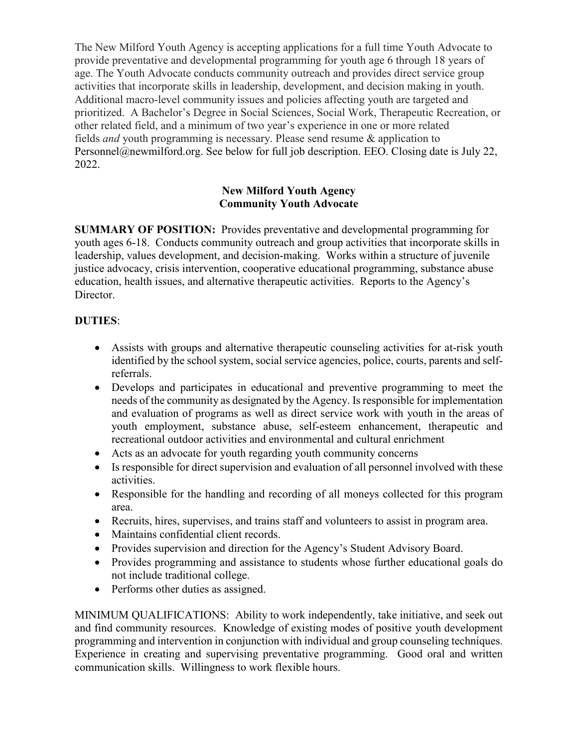The New Milford Youth Agency is accepting applications for a full time Youth Advocate to provide preventative and developmental programming for youth age 6 through 18 years of age. The Youth Advocate conducts community outreach and provides direct service group activities that incorporate skills in leadership, development, and decision making in youth. Additional macro-level community issues and policies affecting youth are targeted and prioritized. A Bachelor's Degree in Social Sciences, Social Work, Therapeutic Recreation, or other related field, and a minimum of two year's experience in one or more related fields *and* youth programming is necessary. Please send resume & application to [Personnel@newmilford.org.](mailto:Personnel@newmilford.org) See below for full job description. EEO. Closing date is July 22, 2022.

## **New Milford Youth Agency Community Youth Advocate**

**SUMMARY OF POSITION:** Provides preventative and developmental programming for youth ages 6-18. Conducts community outreach and group activities that incorporate skills in leadership, values development, and decision-making. Works within a structure of juvenile justice advocacy, crisis intervention, cooperative educational programming, substance abuse education, health issues, and alternative therapeutic activities. Reports to the Agency's Director.

## **DUTIES**:

- Assists with groups and alternative therapeutic counseling activities for at-risk youth identified by the school system, social service agencies, police, courts, parents and selfreferrals.
- Develops and participates in educational and preventive programming to meet the needs of the community as designated by the Agency. Is responsible for implementation and evaluation of programs as well as direct service work with youth in the areas of youth employment, substance abuse, self-esteem enhancement, therapeutic and recreational outdoor activities and environmental and cultural enrichment
- Acts as an advocate for youth regarding youth community concerns
- Is responsible for direct supervision and evaluation of all personnel involved with these activities.
- Responsible for the handling and recording of all moneys collected for this program area.
- Recruits, hires, supervises, and trains staff and volunteers to assist in program area.
- Maintains confidential client records.
- Provides supervision and direction for the Agency's Student Advisory Board.
- Provides programming and assistance to students whose further educational goals do not include traditional college.
- Performs other duties as assigned.

MINIMUM QUALIFICATIONS: Ability to work independently, take initiative, and seek out and find community resources. Knowledge of existing modes of positive youth development programming and intervention in conjunction with individual and group counseling techniques. Experience in creating and supervising preventative programming. Good oral and written communication skills. Willingness to work flexible hours.